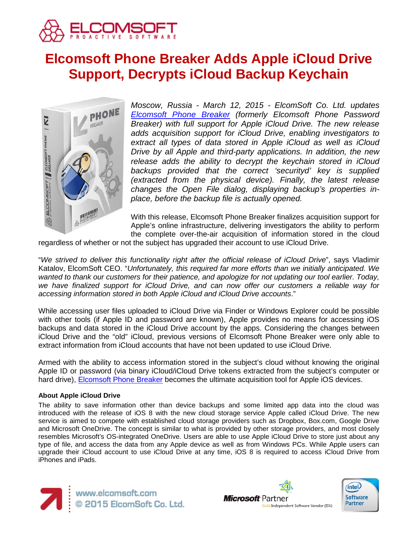

# **Elcomsoft Phone Breaker Adds Apple iCloud Drive Support, Decrypts iCloud Backup Keychain**



*Moscow, Russia - March 12, 2015 - ElcomSoft Co. Ltd. updates [Elcomsoft Phone Breaker](https://www.elcomsoft.com/epb.html) (formerly Elcomsoft Phone Password Breaker) with full support for Apple iCloud Drive. The new release adds acquisition support for iCloud Drive, enabling investigators to extract all types of data stored in Apple iCloud as well as iCloud Drive by all Apple and third-party applications. In addition, the new release adds the ability to decrypt the keychain stored in iCloud backups provided that the correct 'securityd' key is supplied (extracted from the physical device). Finally, the latest release changes the Open File dialog, displaying backup's properties inplace, before the backup file is actually opened.*

With this release, Elcomsoft Phone Breaker finalizes acquisition support for Apple's online infrastructure, delivering investigators the ability to perform the complete over-the-air acquisition of information stored in the cloud

regardless of whether or not the subject has upgraded their account to use iCloud Drive.

"*We strived to deliver this functionality right after the official release of iCloud Drive*", says Vladimir Katalov, ElcomSoft CEO. "*Unfortunately, this required far more efforts than we initially anticipated. We wanted to thank our customers for their patience, and apologize for not updating our tool earlier. Today, we have finalized support for iCloud Drive, and can now offer our customers a reliable way for accessing information stored in both Apple iCloud and iCloud Drive accounts*."

While accessing user files uploaded to iCloud Drive via Finder or Windows Explorer could be possible with other tools (if Apple ID and password are known), Apple provides no means for accessing iOS backups and data stored in the iCloud Drive account by the apps. Considering the changes between iCloud Drive and the "old" iCloud, previous versions of Elcomsoft Phone Breaker were only able to extract information from iCloud accounts that have not been updated to use iCloud Drive.

Armed with the ability to access information stored in the subject's cloud without knowing the original Apple ID or password (via binary iCloud/iCloud Drive tokens extracted from the subject's computer or hard drive), **Elcomsoft Phone Breaker** becomes the ultimate acquisition tool for Apple iOS devices.

### **About Apple iCloud Drive**

The ability to save information other than device backups and some limited app data into the cloud was introduced with the release of iOS 8 with the new cloud storage service Apple called iCloud Drive. The new service is aimed to compete with established cloud storage providers such as Dropbox, Box.com, Google Drive and Microsoft OneDrive. The concept is similar to what is provided by other storage providers, and most closely resembles Microsoft's OS-integrated OneDrive. Users are able to use Apple iCloud Drive to store just about any type of file, and access the data from any Apple device as well as from Windows PCs. While Apple users can upgrade their iCloud account to use iCloud Drive at any time, iOS 8 is required to access iCloud Drive from iPhones and iPads.